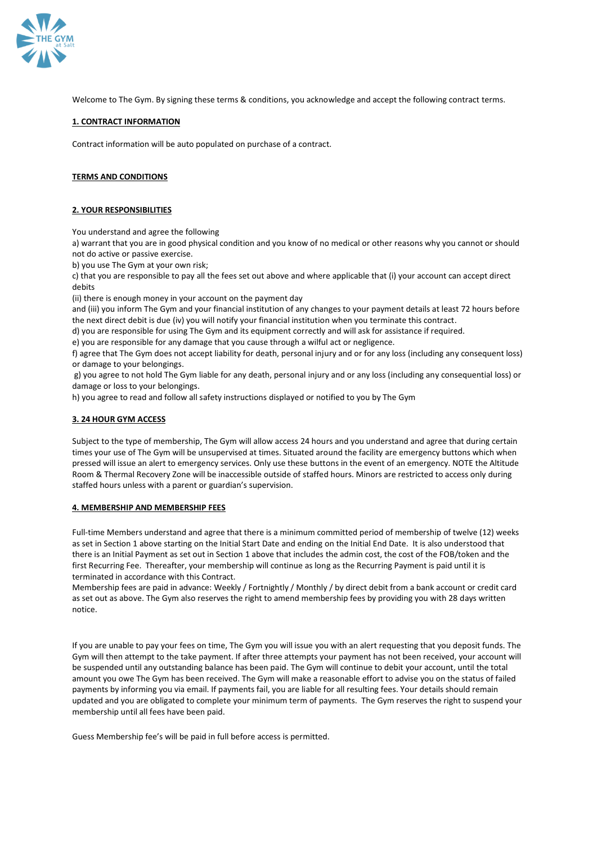

Welcome to The Gym. By signing these terms & conditions, you acknowledge and accept the following contract terms.

### **1. CONTRACT INFORMATION**

Contract information will be auto populated on purchase of a contract.

### **TERMS AND CONDITIONS**

#### **2. YOUR RESPONSIBILITIES**

You understand and agree the following

a) warrant that you are in good physical condition and you know of no medical or other reasons why you cannot or should not do active or passive exercise.

b) you use The Gym at your own risk;

c) that you are responsible to pay all the fees set out above and where applicable that (i) your account can accept direct debits

(ii) there is enough money in your account on the payment day

and (iii) you inform The Gym and your financial institution of any changes to your payment details at least 72 hours before the next direct debit is due (iv) you will notify your financial institution when you terminate this contract.

d) you are responsible for using The Gym and its equipment correctly and will ask for assistance if required.

e) you are responsible for any damage that you cause through a wilful act or negligence.

f) agree that The Gym does not accept liability for death, personal injury and or for any loss (including any consequent loss) or damage to your belongings.

g) you agree to not hold The Gym liable for any death, personal injury and or any loss (including any consequential loss) or damage or loss to your belongings.

h) you agree to read and follow all safety instructions displayed or notified to you by The Gym

### **3. 24 HOUR GYM ACCESS**

Subject to the type of membership, The Gym will allow access 24 hours and you understand and agree that during certain times your use of The Gym will be unsupervised at times. Situated around the facility are emergency buttons which when pressed will issue an alert to emergency services. Only use these buttons in the event of an emergency. NOTE the Altitude Room & Thermal Recovery Zone will be inaccessible outside of staffed hours. Minors are restricted to access only during staffed hours unless with a parent or guardian's supervision.

#### **4. MEMBERSHIP AND MEMBERSHIP FEES**

Full-time Members understand and agree that there is a minimum committed period of membership of twelve (12) weeks as set in Section 1 above starting on the Initial Start Date and ending on the Initial End Date. It is also understood that there is an Initial Payment as set out in Section 1 above that includes the admin cost, the cost of the FOB/token and the first Recurring Fee. Thereafter, your membership will continue as long as the Recurring Payment is paid until it is terminated in accordance with this Contract.

Membership fees are paid in advance: Weekly / Fortnightly / Monthly / by direct debit from a bank account or credit card as set out as above. The Gym also reserves the right to amend membership fees by providing you with 28 days written notice.

If you are unable to pay your fees on time, The Gym you will issue you with an alert requesting that you deposit funds. The Gym will then attempt to the take payment. If after three attempts your payment has not been received, your account will be suspended until any outstanding balance has been paid. The Gym will continue to debit your account, until the total amount you owe The Gym has been received. The Gym will make a reasonable effort to advise you on the status of failed payments by informing you via email. If payments fail, you are liable for all resulting fees. Your details should remain updated and you are obligated to complete your minimum term of payments. The Gym reserves the right to suspend your membership until all fees have been paid.

Guess Membership fee's will be paid in full before access is permitted.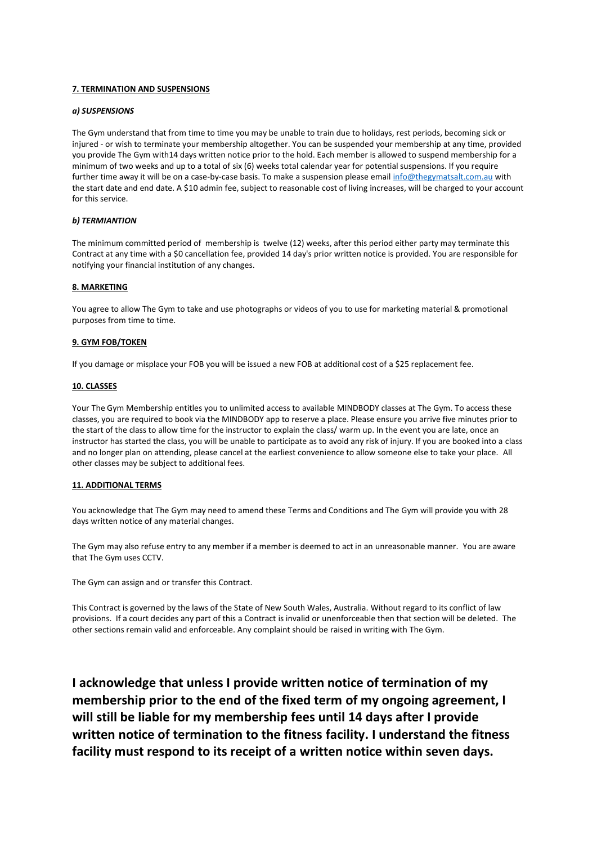# **7. TERMINATION AND SUSPENSIONS**

## *a) SUSPENSIONS*

The Gym understand that from time to time you may be unable to train due to holidays, rest periods, becoming sick or injured - or wish to terminate your membership altogether. You can be suspended your membership at any time, provided you provide The Gym with14 days written notice prior to the hold. Each member is allowed to suspend membership for a minimum of two weeks and up to a total of six (6) weeks total calendar year for potential suspensions. If you require further time away it will be on a case-by-case basis. To make a suspension please email [info@thegymatsalt.com.au](mailto:michelle@thegymatsalt.com.au) with the start date and end date. A \$10 admin fee, subject to reasonable cost of living increases, will be charged to your account for this service.

# *b) TERMIANTION*

The minimum committed period of membership is twelve (12) weeks, after this period either party may terminate this Contract at any time with a \$0 cancellation fee, provided 14 day's prior written notice is provided. You are responsible for notifying your financial institution of any changes.

#### **8. MARKETING**

You agree to allow The Gym to take and use photographs or videos of you to use for marketing material & promotional purposes from time to time.

#### **9. GYM FOB/TOKEN**

If you damage or misplace your FOB you will be issued a new FOB at additional cost of a \$25 replacement fee.

#### **10. CLASSES**

Your The Gym Membership entitles you to unlimited access to available MINDBODY classes at The Gym. To access these classes, you are required to book via the MINDBODY app to reserve a place. Please ensure you arrive five minutes prior to the start of the class to allow time for the instructor to explain the class/ warm up. In the event you are late, once an instructor has started the class, you will be unable to participate as to avoid any risk of injury. If you are booked into a class and no longer plan on attending, please cancel at the earliest convenience to allow someone else to take your place. All other classes may be subject to additional fees.

#### **11. ADDITIONAL TERMS**

You acknowledge that The Gym may need to amend these Terms and Conditions and The Gym will provide you with 28 days written notice of any material changes.

The Gym may also refuse entry to any member if a member is deemed to act in an unreasonable manner. You are aware that The Gym uses CCTV.

The Gym can assign and or transfer this Contract.

This Contract is governed by the laws of the State of New South Wales, Australia. Without regard to its conflict of law provisions. If a court decides any part of this a Contract is invalid or unenforceable then that section will be deleted. The other sections remain valid and enforceable. Any complaint should be raised in writing with The Gym.

**I acknowledge that unless I provide written notice of termination of my membership prior to the end of the fixed term of my ongoing agreement, I will still be liable for my membership fees until 14 days after I provide written notice of termination to the fitness facility. I understand the fitness facility must respond to its receipt of a written notice within seven days.**